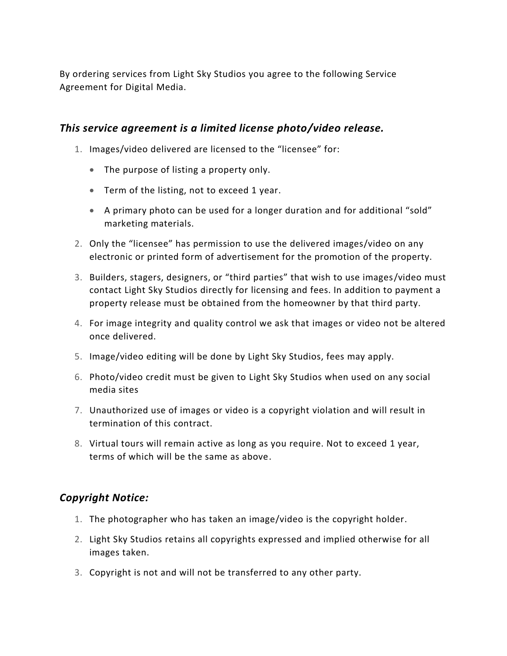By ordering services from Light Sky Studios you agree to the following Service Agreement for Digital Media.

#### *This service agreement is a limited license photo/video release.*

- 1. Images/video delivered are licensed to the "licensee" for:
	- The purpose of listing a property only.
	- Term of the listing, not to exceed 1 year.
	- A primary photo can be used for a longer duration and for additional "sold" marketing materials.
- 2. Only the "licensee" has permission to use the delivered images/video on any electronic or printed form of advertisement for the promotion of the property.
- 3. Builders, stagers, designers, or "third parties" that wish to use images/video must contact Light Sky Studios directly for licensing and fees. In addition to payment a property release must be obtained from the homeowner by that third party.
- 4. For image integrity and quality control we ask that images or video not be altered once delivered.
- 5. Image/video editing will be done by Light Sky Studios, fees may apply.
- 6. Photo/video credit must be given to Light Sky Studios when used on any social media sites
- 7. Unauthorized use of images or video is a copyright violation and will result in termination of this contract.
- 8. Virtual tours will remain active as long as you require. Not to exceed 1 year, terms of which will be the same as above.

# *Copyright Notice:*

- 1. The photographer who has taken an image/video is the copyright holder.
- 2. Light Sky Studios retains all copyrights expressed and implied otherwise for all images taken.
- 3. Copyright is not and will not be transferred to any other party.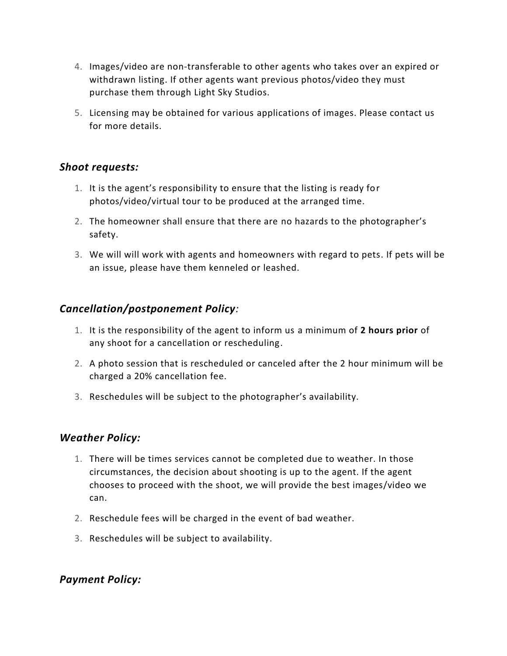- 4. Images/video are non-transferable to other agents who takes over an expired or withdrawn listing. If other agents want previous photos/video they must purchase them through Light Sky Studios.
- 5. Licensing may be obtained for various applications of images. Please contact us for more details.

#### *Shoot requests:*

- 1. It is the agent's responsibility to ensure that the listing is ready for photos/video/virtual tour to be produced at the arranged time.
- 2. The homeowner shall ensure that there are no hazards to the photographer's safety.
- 3. We will will work with agents and homeowners with regard to pets. If pets will be an issue, please have them kenneled or leashed.

# *Cancellation/postponement Policy:*

- 1. It is the responsibility of the agent to inform us a minimum of **2 hours prior** of any shoot for a cancellation or rescheduling.
- 2. A photo session that is rescheduled or canceled after the 2 hour minimum will be charged a 20% cancellation fee.
- 3. Reschedules will be subject to the photographer's availability.

# *Weather Policy:*

- 1. There will be times services cannot be completed due to weather. In those circumstances, the decision about shooting is up to the agent. If the agent chooses to proceed with the shoot, we will provide the best images/video we can.
- 2. Reschedule fees will be charged in the event of bad weather.
- 3. Reschedules will be subject to availability.

# *Payment Policy:*